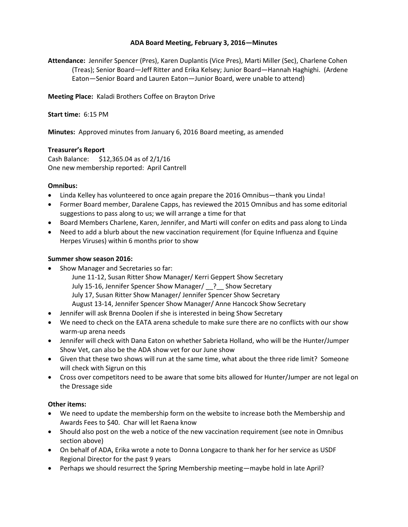## **ADA Board Meeting, February 3, 2016—Minutes**

**Attendance:** Jennifer Spencer (Pres), Karen Duplantis (Vice Pres), Marti Miller (Sec), Charlene Cohen (Treas); Senior Board—Jeff Ritter and Erika Kelsey; Junior Board—Hannah Haghighi. (Ardene Eaton—Senior Board and Lauren Eaton—Junior Board, were unable to attend)

**Meeting Place:** Kaladi Brothers Coffee on Brayton Drive

**Start time:** 6:15 PM

**Minutes:** Approved minutes from January 6, 2016 Board meeting, as amended

## **Treasurer's Report**

Cash Balance: \$12,365.04 as of 2/1/16 One new membership reported: April Cantrell

#### **Omnibus:**

- Linda Kelley has volunteered to once again prepare the 2016 Omnibus—thank you Linda!
- Former Board member, Daralene Capps, has reviewed the 2015 Omnibus and has some editorial suggestions to pass along to us; we will arrange a time for that
- Board Members Charlene, Karen, Jennifer, and Marti will confer on edits and pass along to Linda
- Need to add a blurb about the new vaccination requirement (for Equine Influenza and Equine Herpes Viruses) within 6 months prior to show

## **Summer show season 2016:**

- Show Manager and Secretaries so far:
	- June 11-12, Susan Ritter Show Manager/ Kerri Geppert Show Secretary July 15-16, Jennifer Spencer Show Manager/ \_\_? Show Secretary July 17, Susan Ritter Show Manager/ Jennifer Spencer Show Secretary August 13-14, Jennifer Spencer Show Manager/ Anne Hancock Show Secretary
- Jennifer will ask Brenna Doolen if she is interested in being Show Secretary
- We need to check on the EATA arena schedule to make sure there are no conflicts with our show warm-up arena needs
- Jennifer will check with Dana Eaton on whether Sabrieta Holland, who will be the Hunter/Jumper Show Vet, can also be the ADA show vet for our June show
- Given that these two shows will run at the same time, what about the three ride limit? Someone will check with Sigrun on this
- Cross over competitors need to be aware that some bits allowed for Hunter/Jumper are not legal on the Dressage side

# **Other items:**

- We need to update the membership form on the website to increase both the Membership and Awards Fees to \$40. Char will let Raena know
- Should also post on the web a notice of the new vaccination requirement (see note in Omnibus section above)
- On behalf of ADA, Erika wrote a note to Donna Longacre to thank her for her service as USDF Regional Director for the past 9 years
- Perhaps we should resurrect the Spring Membership meeting—maybe hold in late April?